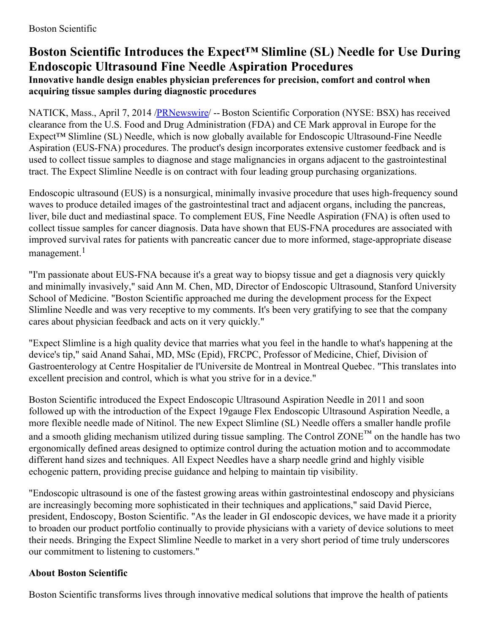## **Boston Scientific Introduces the Expect™ Slimline (SL) Needle for Use During Endoscopic Ultrasound Fine Needle Aspiration Procedures**

## **Innovative handle design enables physician preferences for precision, comfort and control when acquiring tissue samples during diagnostic procedures**

NATICK, Mass., April 7, 2014 /**PRNewswire/** -- Boston Scientific Corporation (NYSE: BSX) has received clearance from the U.S. Food and Drug Administration (FDA) and CE Mark approval in Europe for the Expect™ Slimline (SL) Needle, which is now globally available for Endoscopic Ultrasound-Fine Needle Aspiration (EUS-FNA) procedures. The product's design incorporates extensive customer feedback and is used to collect tissue samples to diagnose and stage malignancies in organs adjacent to the gastrointestinal tract. The Expect Slimline Needle is on contract with four leading group purchasing organizations.

Endoscopic ultrasound (EUS) is a nonsurgical, minimally invasive procedure that uses high-frequency sound waves to produce detailed images of the gastrointestinal tract and adjacent organs, including the pancreas, liver, bile duct and mediastinal space. To complement EUS, Fine Needle Aspiration (FNA) is often used to collect tissue samples for cancer diagnosis. Data have shown that EUS-FNA procedures are associated with improved survival rates for patients with pancreatic cancer due to more informed, stage-appropriate disease management.<sup>1</sup>

"I'm passionate about EUS-FNA because it's a great way to biopsy tissue and get a diagnosis very quickly and minimally invasively," said Ann M. Chen, MD, Director of Endoscopic Ultrasound, Stanford University School of Medicine. "Boston Scientific approached me during the development process for the Expect Slimline Needle and was very receptive to my comments. It's been very gratifying to see that the company cares about physician feedback and acts on it very quickly."

"Expect Slimline is a high quality device that marries what you feel in the handle to what's happening at the device's tip," said Anand Sahai, MD, MSc (Epid), FRCPC, Professor of Medicine, Chief, Division of Gastroenterology at Centre Hospitalier de l'Universite de Montreal in Montreal Quebec. "This translates into excellent precision and control, which is what you strive for in a device."

Boston Scientific introduced the Expect Endoscopic Ultrasound Aspiration Needle in 2011 and soon followed up with the introduction of the Expect 19gauge Flex Endoscopic Ultrasound Aspiration Needle, a more flexible needle made of Nitinol. The new Expect Slimline (SL) Needle offers a smaller handle profile and a smooth gliding mechanism utilized during tissue sampling. The Control ZONE™ on the handle has two ergonomically defined areas designed to optimize control during the actuation motion and to accommodate different hand sizes and techniques. All Expect Needles have a sharp needle grind and highly visible echogenic pattern, providing precise guidance and helping to maintain tip visibility.

"Endoscopic ultrasound is one of the fastest growing areas within gastrointestinal endoscopy and physicians are increasingly becoming more sophisticated in their techniques and applications," said David Pierce, president, Endoscopy, Boston Scientific. "As the leader in GI endoscopic devices, we have made it a priority to broaden our product portfolio continually to provide physicians with a variety of device solutions to meet their needs. Bringing the Expect Slimline Needle to market in a very short period of time truly underscores our commitment to listening to customers."

## **About Boston Scientific**

Boston Scientific transforms lives through innovative medical solutions that improve the health of patients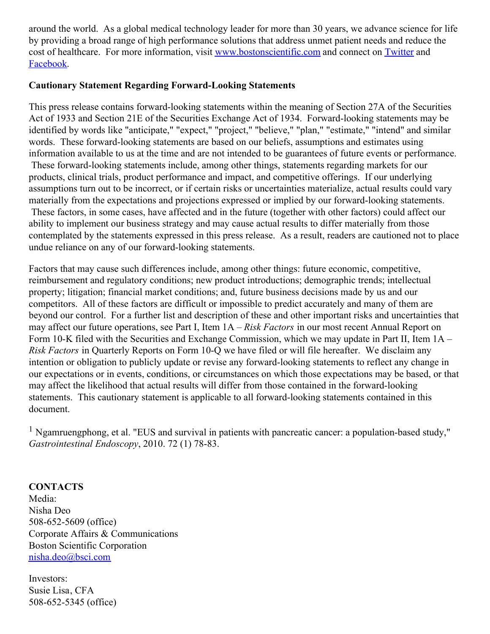around the world. As a global medical technology leader for more than 30 years, we advance science for life by providing a broad range of high performance solutions that address unmet patient needs and reduce the cost of healthcare. For more information, visit [www.bostonscientific.com](http://www.bostonscientific.com/) and connect on [Twitter](http://twitter.com/bostonsci) and [Facebook](http://www.facebook.com/bostonscientific).

## **Cautionary Statement Regarding Forward-Looking Statements**

This press release contains forward-looking statements within the meaning of Section 27A of the Securities Act of 1933 and Section 21E of the Securities Exchange Act of 1934. Forward-looking statements may be identified by words like "anticipate," "expect," "project," "believe," "plan," "estimate," "intend" and similar words. These forward-looking statements are based on our beliefs, assumptions and estimates using information available to us at the time and are not intended to be guarantees of future events or performance. These forward-looking statements include, among other things, statements regarding markets for our products, clinical trials, product performance and impact, and competitive offerings. If our underlying assumptions turn out to be incorrect, or if certain risks or uncertainties materialize, actual results could vary materially from the expectations and projections expressed or implied by our forward-looking statements. These factors, in some cases, have affected and in the future (together with other factors) could affect our ability to implement our business strategy and may cause actual results to differ materially from those contemplated by the statements expressed in this press release. As a result, readers are cautioned not to place undue reliance on any of our forward-looking statements.

Factors that may cause such differences include, among other things: future economic, competitive, reimbursement and regulatory conditions; new product introductions; demographic trends; intellectual property; litigation; financial market conditions; and, future business decisions made by us and our competitors. All of these factors are difficult or impossible to predict accurately and many of them are beyond our control. For a further list and description of these and other important risks and uncertainties that may affect our future operations, see Part I, Item 1A – *Risk Factors* in our most recent Annual Report on Form 10-K filed with the Securities and Exchange Commission, which we may update in Part II, Item 1A – *Risk Factors* in Quarterly Reports on Form 10-Q we have filed or will file hereafter. We disclaim any intention or obligation to publicly update or revise any forward-looking statements to reflect any change in our expectations or in events, conditions, or circumstances on which those expectations may be based, or that may affect the likelihood that actual results will differ from those contained in the forward-looking statements. This cautionary statement is applicable to all forward-looking statements contained in this document.

<sup>1</sup> Ngamruengphong, et al. "EUS and survival in patients with pancreatic cancer: a population-based study," *Gastrointestinal Endoscopy*, 2010. 72 (1) 78-83.

**CONTACTS** Media: Nisha Deo 508-652-5609 (office) Corporate Affairs & Communications Boston Scientific Corporation [nisha.deo@bsci.com](mailto:nisha.deo@bsci.com)

Investors: Susie Lisa, CFA 508-652-5345 (office)